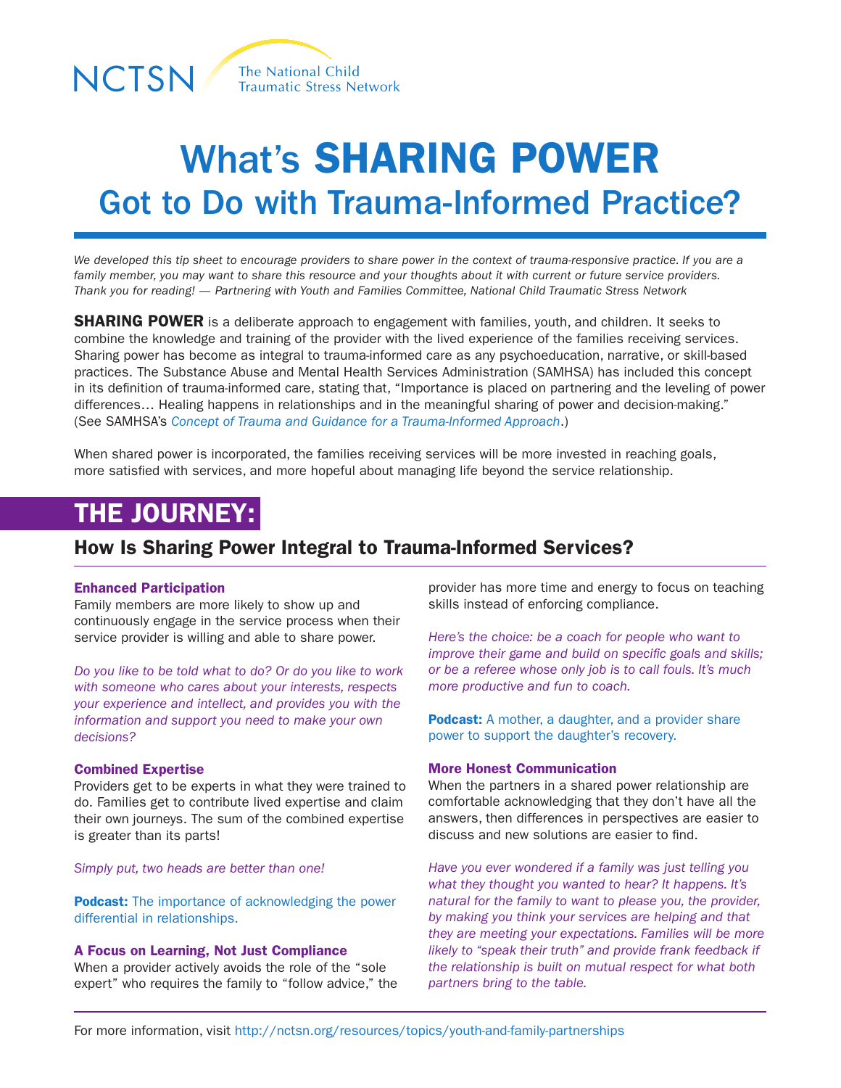

# What's SHARING POWER Got to Do with Trauma-Informed Practice?

*We developed this tip sheet to encourage providers to share power in the context of trauma-responsive practice. If you are a family member, you may want to share this resource and your thoughts about it with current or future service providers. Thank you for reading! — Partnering with Youth and Families Committee, National Child Traumatic Stress Network*

**SHARING POWER** is a deliberate approach to engagement with families, youth, and children. It seeks to combine the knowledge and training of the provider with the lived experience of the families receiving services. Sharing power has become as integral to trauma-informed care as any psychoeducation, narrative, or skill-based practices. The Substance Abuse and Mental Health Services Administration (SAMHSA) has included this concept in its definition of trauma-informed care, stating that, "Importance is placed on partnering and the leveling of power differences… Healing happens in relationships and in the meaningful sharing of power and decision-making." (See SAMHSA's *[Concept of Trauma and Guidance for a Trauma-Informed Approach](http://store.samhsa.gov/shin/content/SMA14-4884/SMA14-4884.pdf)*.)

When shared power is incorporated, the families receiving services will be more invested in reaching goals, more satisfied with services, and more hopeful about managing life beyond the service relationship.

## THE JOURNEY:

### How Is Sharing Power Integral to Trauma-Informed Services?

#### Enhanced Participation

Family members are more likely to show up and continuously engage in the service process when their service provider is willing and able to share power.

*Do you like to be told what to do? Or do you like to work with someone who cares about your interests, respects your experience and intellect, and provides you with the information and support you need to make your own decisions?*

#### Combined Expertise

Providers get to be experts in what they were trained to do. Families get to contribute lived expertise and claim their own journeys. The sum of the combined expertise is greater than its parts!

*Simply put, two heads are better than one!* 

**Podcast:** The importance of acknowledging the power [differential in relationships.](http://www.nctsn.org/nctsn_assets/audio/family/emily_russell_shared_power.mp4)

#### A Focus on Learning, Not Just Compliance

When a provider actively avoids the role of the "sole expert" who requires the family to "follow advice," the provider has more time and energy to focus on teaching skills instead of enforcing compliance.

*Here's the choice: be a coach for people who want to improve their game and build on specific goals and skills; or be a referee whose only job is to call fouls. It's much more productive and fun to coach.* 

**Podcast:** A mother, a daughter, and a provider share [power to support the daughter's recovery.](http://www.nctsn.org/nctsn_assets/audio/family/gerri_audio_04_08_2015_09_20_57_1.mp4)

#### More Honest Communication

When the partners in a shared power relationship are comfortable acknowledging that they don't have all the answers, then differences in perspectives are easier to discuss and new solutions are easier to find.

*Have you ever wondered if a family was just telling you what they thought you wanted to hear? It happens. It's natural for the family to want to please you, the provider, by making you think your services are helping and that they are meeting your expectations. Families will be more likely to "speak their truth" and provide frank feedback if the relationship is built on mutual respect for what both partners bring to the table.*